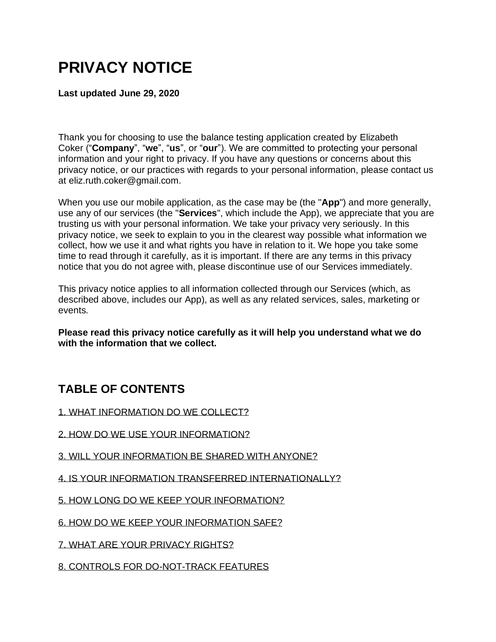# **PRIVACY NOTICE**

**Last updated June 29, 2020**

Thank you for choosing to use the balance testing application created by Elizabeth Coker ("**Company**", "**we**", "**us**", or "**our**"). We are committed to protecting your personal information and your right to privacy. If you have any questions or concerns about this privacy notice, or our practices with regards to your personal information, please contact us at eliz.ruth.coker@gmail.com.

When you use our mobile application, as the case may be (the "**App**") and more generally, use any of our services (the "**Services**", which include the App), we appreciate that you are trusting us with your personal information. We take your privacy very seriously. In this privacy notice, we seek to explain to you in the clearest way possible what information we collect, how we use it and what rights you have in relation to it. We hope you take some time to read through it carefully, as it is important. If there are any terms in this privacy notice that you do not agree with, please discontinue use of our Services immediately.

This privacy notice applies to all information collected through our Services (which, as described above, includes our App), as well as any related services, sales, marketing or events.

**Please read this privacy notice carefully as it will help you understand what we do with the information that we collect.**

# **TABLE OF CONTENTS**

[1. WHAT INFORMATION DO WE COLLECT?](https://app.termly.io/dashboard/website/488904/privacy-policy#infocollect)

- [2. HOW DO WE USE YOUR INFORMATION?](https://app.termly.io/dashboard/website/488904/privacy-policy#infouse)
- [3. WILL YOUR INFORMATION BE SHARED WITH ANYONE?](https://app.termly.io/dashboard/website/488904/privacy-policy#infoshare)
- [4. IS YOUR INFORMATION TRANSFERRED INTERNATIONALLY?](https://app.termly.io/dashboard/website/488904/privacy-policy#intltransfers)
- [5. HOW LONG DO WE KEEP YOUR INFORMATION?](https://app.termly.io/dashboard/website/488904/privacy-policy#inforetain)

[6. HOW DO WE KEEP YOUR INFORMATION SAFE?](https://app.termly.io/dashboard/website/488904/privacy-policy#infosafe)

[7. WHAT ARE YOUR PRIVACY RIGHTS?](https://app.termly.io/dashboard/website/488904/privacy-policy#privacyrights)

[8. CONTROLS FOR DO-NOT-TRACK FEATURES](https://app.termly.io/dashboard/website/488904/privacy-policy#DNT)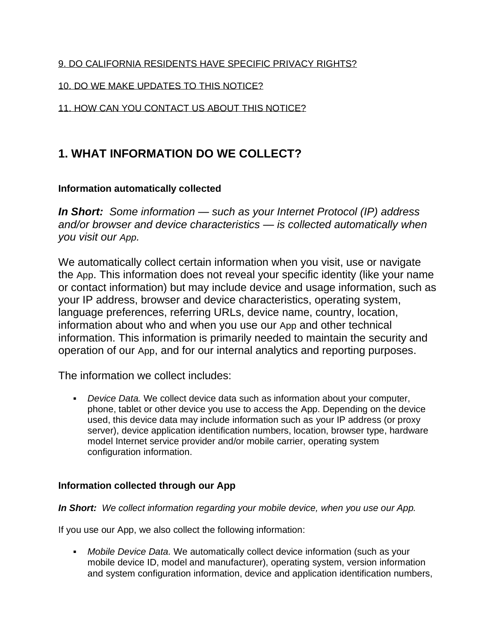#### [9. DO CALIFORNIA RESIDENTS HAVE SPECIFIC PRIVACY RIGHTS?](https://app.termly.io/dashboard/website/488904/privacy-policy#caresidents)

#### [10. DO WE MAKE UPDATES TO THIS NOTICE?](https://app.termly.io/dashboard/website/488904/privacy-policy#policyupdates)

#### [11. HOW CAN YOU CONTACT US ABOUT THIS NOTICE?](https://app.termly.io/dashboard/website/488904/privacy-policy#contact)

### **1. WHAT INFORMATION DO WE COLLECT?**

#### **Information automatically collected**

*In Short: Some information — such as your Internet Protocol (IP) address and/or browser and device characteristics — is collected automatically when you visit our App.*

We automatically collect certain information when you visit, use or navigate the App. This information does not reveal your specific identity (like your name or contact information) but may include device and usage information, such as your IP address, browser and device characteristics, operating system, language preferences, referring URLs, device name, country, location, information about who and when you use our App and other technical information. This information is primarily needed to maintain the security and operation of our App, and for our internal analytics and reporting purposes.

The information we collect includes:

▪ *Device Data.* We collect device data such as information about your computer, phone, tablet or other device you use to access the App. Depending on the device used, this device data may include information such as your IP address (or proxy server), device application identification numbers, location, browser type, hardware model Internet service provider and/or mobile carrier, operating system configuration information.

#### **Information collected through our App**

#### *In Short: We collect information regarding your mobile device, when you use our App.*

If you use our App, we also collect the following information:

▪ *Mobile Device Data.* We automatically collect device information (such as your mobile device ID, model and manufacturer), operating system, version information and system configuration information, device and application identification numbers,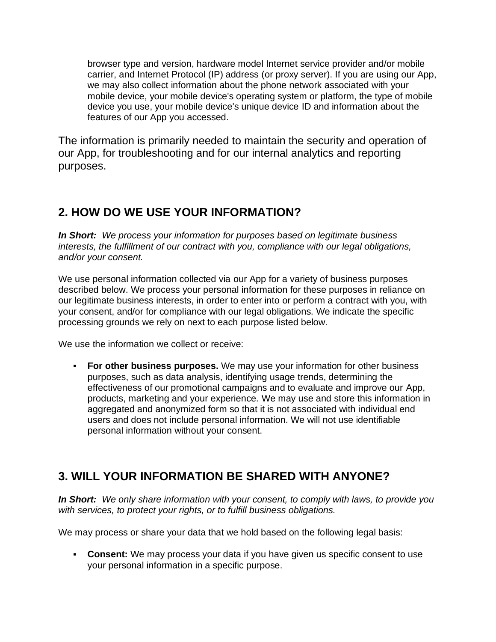browser type and version, hardware model Internet service provider and/or mobile carrier, and Internet Protocol (IP) address (or proxy server). If you are using our App, we may also collect information about the phone network associated with your mobile device, your mobile device's operating system or platform, the type of mobile device you use, your mobile device's unique device ID and information about the features of our App you accessed.

The information is primarily needed to maintain the security and operation of our App, for troubleshooting and for our internal analytics and reporting purposes.

### **2. HOW DO WE USE YOUR INFORMATION?**

*In Short: We process your information for purposes based on legitimate business interests, the fulfillment of our contract with you, compliance with our legal obligations, and/or your consent.*

We use personal information collected via our App for a variety of business purposes described below. We process your personal information for these purposes in reliance on our legitimate business interests, in order to enter into or perform a contract with you, with your consent, and/or for compliance with our legal obligations. We indicate the specific processing grounds we rely on next to each purpose listed below.

We use the information we collect or receive:

▪ **For other business purposes.** We may use your information for other business purposes, such as data analysis, identifying usage trends, determining the effectiveness of our promotional campaigns and to evaluate and improve our App, products, marketing and your experience. We may use and store this information in aggregated and anonymized form so that it is not associated with individual end users and does not include personal information. We will not use identifiable personal information without your consent.

# **3. WILL YOUR INFORMATION BE SHARED WITH ANYONE?**

*In Short: We only share information with your consent, to comply with laws, to provide you with services, to protect your rights, or to fulfill business obligations.*

We may process or share your data that we hold based on the following legal basis:

▪ **Consent:** We may process your data if you have given us specific consent to use your personal information in a specific purpose.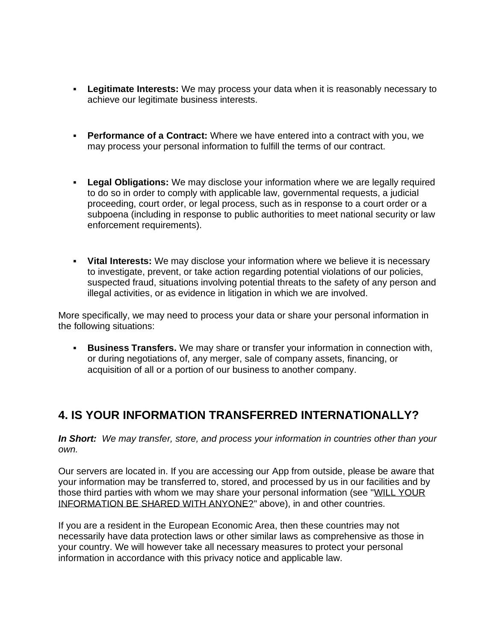- **Legitimate Interests:** We may process your data when it is reasonably necessary to achieve our legitimate business interests.
- **Performance of a Contract:** Where we have entered into a contract with you, we may process your personal information to fulfill the terms of our contract.
- **Example 20 India Divisions:** We may disclose your information where we are legally required to do so in order to comply with applicable law, governmental requests, a judicial proceeding, court order, or legal process, such as in response to a court order or a subpoena (including in response to public authorities to meet national security or law enforcement requirements).
- **Vital Interests:** We may disclose your information where we believe it is necessary to investigate, prevent, or take action regarding potential violations of our policies, suspected fraud, situations involving potential threats to the safety of any person and illegal activities, or as evidence in litigation in which we are involved.

More specifically, we may need to process your data or share your personal information in the following situations:

**EUSINESS Transfers.** We may share or transfer your information in connection with, or during negotiations of, any merger, sale of company assets, financing, or acquisition of all or a portion of our business to another company.

### **4. IS YOUR INFORMATION TRANSFERRED INTERNATIONALLY?**

*In Short: We may transfer, store, and process your information in countries other than your own.*

Our servers are located in. If you are accessing our App from outside, please be aware that your information may be transferred to, stored, and processed by us in our facilities and by those third parties with whom we may share your personal information (see ["WILL YOUR](https://app.termly.io/dashboard/website/488904/privacy-policy#infoshare)  [INFORMATION BE SHARED WITH ANYONE?"](https://app.termly.io/dashboard/website/488904/privacy-policy#infoshare) above), in and other countries.

If you are a resident in the European Economic Area, then these countries may not necessarily have data protection laws or other similar laws as comprehensive as those in your country. We will however take all necessary measures to protect your personal information in accordance with this privacy notice and applicable law.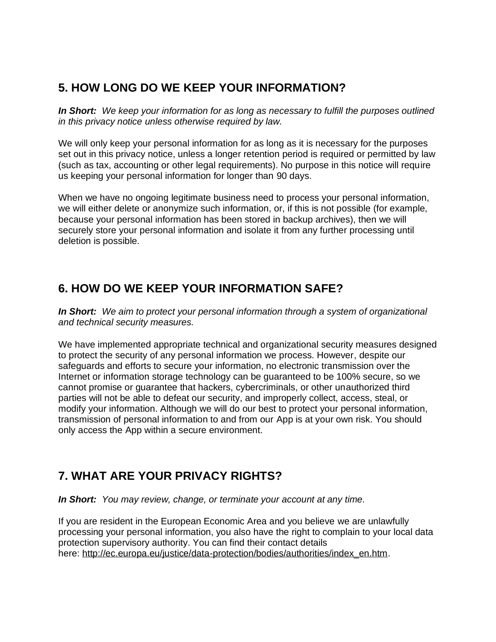# **5. HOW LONG DO WE KEEP YOUR INFORMATION?**

*In Short: We keep your information for as long as necessary to fulfill the purposes outlined in this privacy notice unless otherwise required by law.*

We will only keep your personal information for as long as it is necessary for the purposes set out in this privacy notice, unless a longer retention period is required or permitted by law (such as tax, accounting or other legal requirements). No purpose in this notice will require us keeping your personal information for longer than 90 days.

When we have no ongoing legitimate business need to process your personal information, we will either delete or anonymize such information, or, if this is not possible (for example, because your personal information has been stored in backup archives), then we will securely store your personal information and isolate it from any further processing until deletion is possible.

### **6. HOW DO WE KEEP YOUR INFORMATION SAFE?**

*In Short: We aim to protect your personal information through a system of organizational and technical security measures.*

We have implemented appropriate technical and organizational security measures designed to protect the security of any personal information we process. However, despite our safeguards and efforts to secure your information, no electronic transmission over the Internet or information storage technology can be guaranteed to be 100% secure, so we cannot promise or guarantee that hackers, cybercriminals, or other unauthorized third parties will not be able to defeat our security, and improperly collect, access, steal, or modify your information. Although we will do our best to protect your personal information, transmission of personal information to and from our App is at your own risk. You should only access the App within a secure environment.

# **7. WHAT ARE YOUR PRIVACY RIGHTS?**

*In Short: You may review, change, or terminate your account at any time.*

If you are resident in the European Economic Area and you believe we are unlawfully processing your personal information, you also have the right to complain to your local data protection supervisory authority. You can find their contact details here: [http://ec.europa.eu/justice/data-protection/bodies/authorities/index\\_en.htm.](http://ec.europa.eu/justice/data-protection/bodies/authorities/index_en.htm)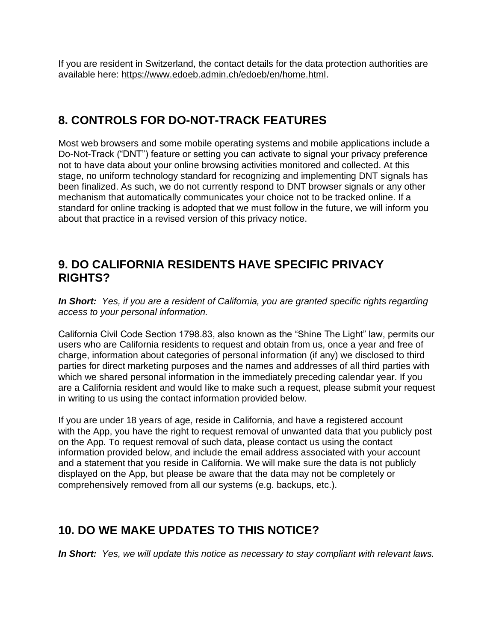If you are resident in Switzerland, the contact details for the data protection authorities are available here: [https://www.edoeb.admin.ch/edoeb/en/home.html.](https://www.edoeb.admin.ch/edoeb/en/home.html)

### **8. CONTROLS FOR DO-NOT-TRACK FEATURES**

Most web browsers and some mobile operating systems and mobile applications include a Do-Not-Track ("DNT") feature or setting you can activate to signal your privacy preference not to have data about your online browsing activities monitored and collected. At this stage, no uniform technology standard for recognizing and implementing DNT signals has been finalized. As such, we do not currently respond to DNT browser signals or any other mechanism that automatically communicates your choice not to be tracked online. If a standard for online tracking is adopted that we must follow in the future, we will inform you about that practice in a revised version of this privacy notice.

### **9. DO CALIFORNIA RESIDENTS HAVE SPECIFIC PRIVACY RIGHTS?**

*In Short: Yes, if you are a resident of California, you are granted specific rights regarding access to your personal information.*

California Civil Code Section 1798.83, also known as the "Shine The Light" law, permits our users who are California residents to request and obtain from us, once a year and free of charge, information about categories of personal information (if any) we disclosed to third parties for direct marketing purposes and the names and addresses of all third parties with which we shared personal information in the immediately preceding calendar year. If you are a California resident and would like to make such a request, please submit your request in writing to us using the contact information provided below.

If you are under 18 years of age, reside in California, and have a registered account with the App, you have the right to request removal of unwanted data that you publicly post on the App. To request removal of such data, please contact us using the contact information provided below, and include the email address associated with your account and a statement that you reside in California. We will make sure the data is not publicly displayed on the App, but please be aware that the data may not be completely or comprehensively removed from all our systems (e.g. backups, etc.).

### **10. DO WE MAKE UPDATES TO THIS NOTICE?**

*In Short: Yes, we will update this notice as necessary to stay compliant with relevant laws.*